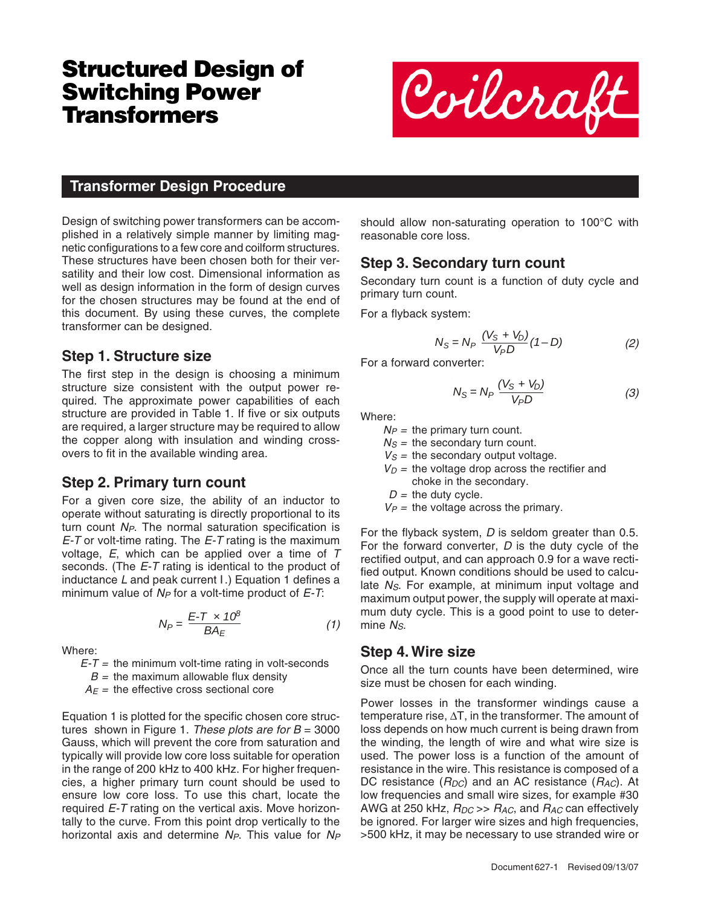# **Structured Design of Switching Power Transformers**



#### **Transformer Design Procedure**

Design of switching power transformers can be accomplished in a relatively simple manner by limiting magnetic configurations to a few core and coilform structures. These structures have been chosen both for their versatility and their low cost. Dimensional information as well as design information in the form of design curves for the chosen structures may be found at the end of this document. By using these curves, the complete transformer can be designed.

#### **Step 1. Structure size**

The first step in the design is choosing a minimum structure size consistent with the output power required. The approximate power capabilities of each structure are provided in Table 1. If five or six outputs are required, a larger structure may be required to allow the copper along with insulation and winding crossovers to fit in the available winding area.

#### **Step 2. Primary turn count**

For a given core size, the ability of an inductor to operate without saturating is directly proportional to its turn count  $N_P$ . The normal saturation specification is  $E$ -T or volt-time rating. The  $E$ -T rating is the maximum voltage,  $E$ , which can be applied over a time of  $T$ seconds. (The E-T rating is identical to the product of inductance L and peak current *I*.) Equation 1 defines a minimum value of  $N_P$  for a volt-time product of  $E$ -T:

$$
N_P = \frac{E - T \times 10^8}{BA_E} \tag{1}
$$

Where:

 $E-T$  = the minimum volt-time rating in volt-seconds

 $B =$  the maximum allowable flux density

 $A_F$  = the effective cross sectional core

Equation 1 is plotted for the specific chosen core structures shown in Figure 1. These plots are for  $B = 3000$ Gauss, which will prevent the core from saturation and typically will provide low core loss suitable for operation in the range of 200 kHz to 400 kHz. For higher frequencies, a higher primary turn count should be used to ensure low core loss. To use this chart, locate the required E-T rating on the vertical axis. Move horizontally to the curve. From this point drop vertically to the horizontal axis and determine  $N_P$ . This value for  $N_P$  should allow non-saturating operation to 100°C with reasonable core loss.

#### **Step 3. Secondary turn count**

Secondary turn count is a function of duty cycle and primary turn count.

For a flyback system:

$$
N_S = N_P \frac{(V_S + V_D)}{V_P D} (1 - D)
$$
 (2)

For a forward converter:

$$
N_S = N_P \frac{(V_S + V_D)}{V_P D} \tag{3}
$$

Where:

 $N_P$  = the primary turn count.

 $N<sub>S</sub>$  = the secondary turn count.

 $V<sub>S</sub>$  = the secondary output voltage.

 $V_D$  = the voltage drop across the rectifier and choke in the secondary.

 $D =$  the duty cycle.

 $V_P$  = the voltage across the primary.

For the flyback system, D is seldom greater than 0.5. For the forward converter,  $D$  is the duty cycle of the rectified output, and can approach 0.9 for a wave rectified output. Known conditions should be used to calculate  $N<sub>S</sub>$ . For example, at minimum input voltage and maximum output power, the supply will operate at maximum duty cycle. This is a good point to use to determine  $N<sub>S</sub>$ .

#### **Step 4. Wire size**

Once all the turn counts have been determined, wire size must be chosen for each winding.

Power losses in the transformer windings cause a temperature rise, ΔT, in the transformer. The amount of loss depends on how much current is being drawn from the winding, the length of wire and what wire size is used. The power loss is a function of the amount of resistance in the wire. This resistance is composed of a DC resistance ( $R_{DC}$ ) and an AC resistance ( $R_{AC}$ ). At low frequencies and small wire sizes, for example #30 AWG at 250 kHz,  $R_{DC} >> R_{AC}$ , and  $R_{AC}$  can effectively be ignored. For larger wire sizes and high frequencies, >500 kHz, it may be necessary to use stranded wire or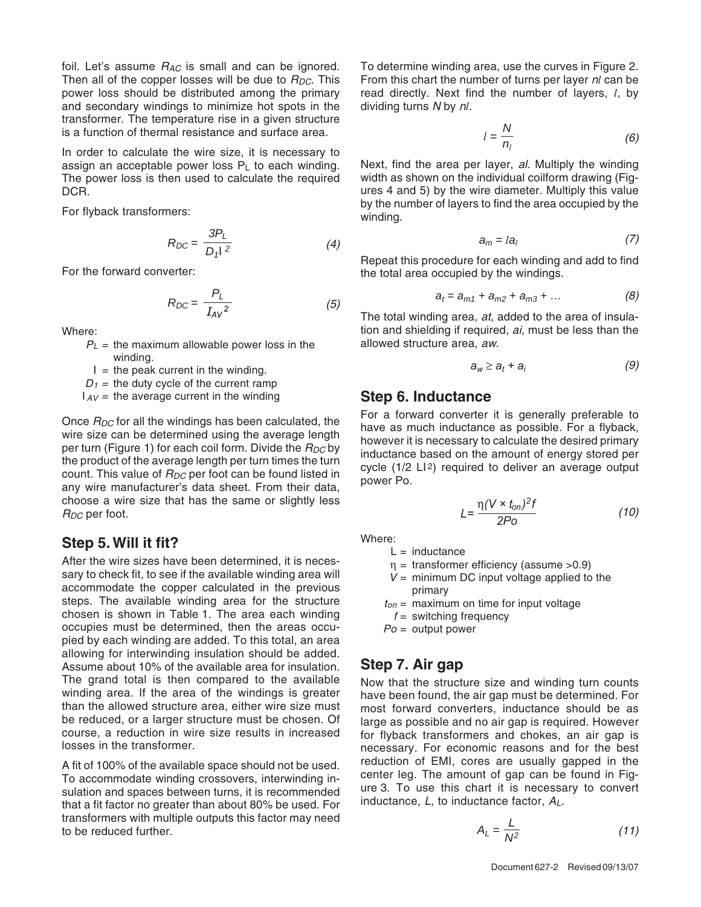foil. Let's assume  $R_{AC}$  is small and can be ignored. Then all of the copper losses will be due to  $R_{DC}$ . This power loss should be distributed among the primary and secondary windings to minimize hot spots in the transformer. The temperature rise in a given structure is a function of thermal resistance and surface area.

In order to calculate the wire size, it is necessary to assign an acceptable power loss  $P_L$  to each winding. The power loss is then used to calculate the required DCR.

For flyback transformers:

$$
R_{DC} = \frac{3P_L}{D_1 l^2} \tag{4}
$$

For the forward converter:

$$
R_{DC} = \frac{P_L}{I_{AV}^2} \tag{5}
$$

Where:

 $P_L$  = the maximum allowable power loss in the winding.

 $I =$  the peak current in the winding.

 $D_1$  = the duty cycle of the current ramp

 $I_{AV}$  = the average current in the winding

Once  $R_{DC}$  for all the windings has been calculated, the wire size can be determined using the average length per turn (Figure 1) for each coil form. Divide the  $R_{DC}$  by the product of the average length per turn times the turn count. This value of  $R_{DC}$  per foot can be found listed in any wire manufacturer's data sheet. From their data, choose a wire size that has the same or slightly less  $R_{DC}$  per foot.

## **Step 5. Will it fit?**

After the wire sizes have been determined, it is necessary to check fit, to see if the available winding area will accommodate the copper calculated in the previous steps. The available winding area for the structure chosen is shown in Table 1. The area each winding occupies must be determined, then the areas occupied by each winding are added. To this total, an area allowing for interwinding insulation should be added. Assume about 10% of the available area for insulation. The grand total is then compared to the available winding area. If the area of the windings is greater than the allowed structure area, either wire size must be reduced, or a larger structure must be chosen. Of course, a reduction in wire size results in increased losses in the transformer.

A fit of 100% of the available space should not be used. To accommodate winding crossovers, interwinding insulation and spaces between turns, it is recommended that a fit factor no greater than about 80% be used. For transformers with multiple outputs this factor may need to be reduced further.

To determine winding area, use the curves in Figure 2. From this chart the number of turns per layer n*l* can be read directly. Next find the number of layers, *l*, by dividing turns N by n*l*.

$$
l = \frac{N}{n_l} \tag{6}
$$

Next, find the area per layer, al. Multiply the winding width as shown on the individual coilform drawing (Figures 4 and 5) by the wire diameter. Multiply this value by the number of layers to find the area occupied by the winding.

$$
a_m = l a_l \tag{7}
$$

Repeat this procedure for each winding and add to find the total area occupied by the windings.

$$
a_t = a_{m1} + a_{m2} + a_{m3} + \dots \tag{8}
$$

The total winding area, at, added to the area of insulation and shielding if required, ai, must be less than the allowed structure area, aw.

$$
a_w \ge a_t + a_i \tag{9}
$$

## **Step 6. Inductance**

For a forward converter it is generally preferable to have as much inductance as possible. For a flyback, however it is necessary to calculate the desired primary inductance based on the amount of energy stored per cycle (1/2 LI2) required to deliver an average output power Po.

$$
L = \frac{\eta (V \times t_{on})^2 f}{2Po} \tag{10}
$$

Where:

- $L =$  inductance
- $\eta$  = transformer efficiency (assume >0.9)
- $V =$  minimum DC input voltage applied to the primary
- $t_{on}$  = maximum on time for input voltage  $f =$  switching frequency
- $Po =$  output power

## **Step 7. Air gap**

Now that the structure size and winding turn counts have been found, the air gap must be determined. For most forward converters, inductance should be as large as possible and no air gap is required. However for flyback transformers and chokes, an air gap is necessary. For economic reasons and for the best reduction of EMI, cores are usually gapped in the center leg. The amount of gap can be found in Figure 3. To use this chart it is necessary to convert inductance,  $L$ , to inductance factor,  $A_L$ .

$$
A_L = \frac{L}{N^2} \tag{11}
$$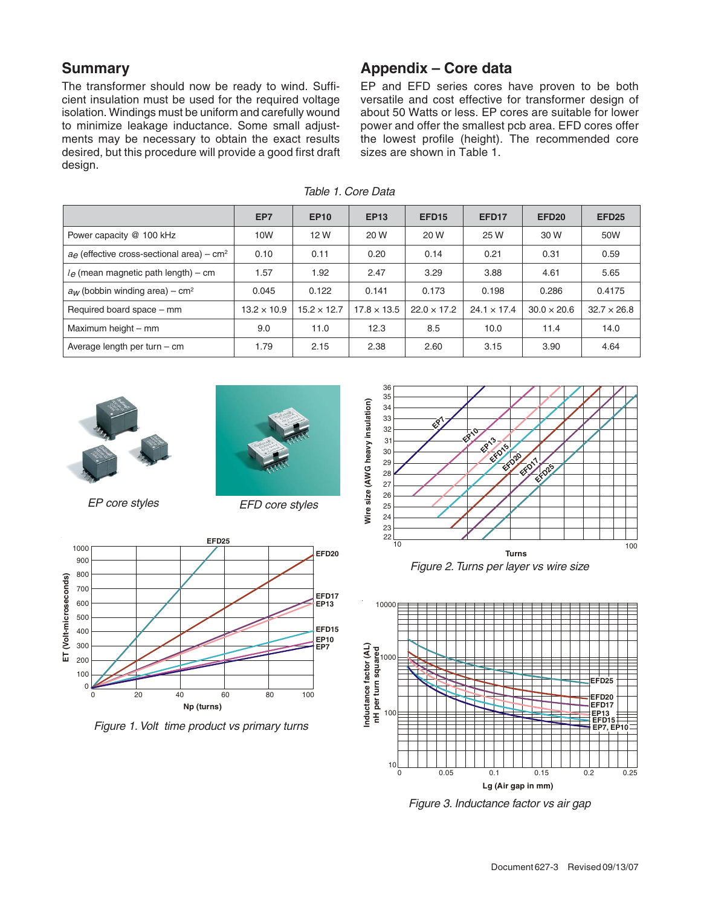## **Summary**

The transformer should now be ready to wind. Sufficient insulation must be used for the required voltage isolation. Windings must be uniform and carefully wound to minimize leakage inductance. Some small adjustments may be necessary to obtain the exact results desired, but this procedure will provide a good first draft design.

# **Appendix – Core data**

EP and EFD series cores have proven to be both versatile and cost effective for transformer design of about 50 Watts or less. EP cores are suitable for lower power and offer the smallest pcb area. EFD cores offer the lowest profile (height). The recommended core sizes are shown in Table 1.

|                                                                 | EP7                | <b>EP10</b>        | <b>EP13</b>        | EFD <sub>15</sub>  | EFD <sub>17</sub>  | <b>EFD20</b>       | <b>EFD25</b>       |
|-----------------------------------------------------------------|--------------------|--------------------|--------------------|--------------------|--------------------|--------------------|--------------------|
| Power capacity @ 100 kHz                                        | 10W                | 12 W               | 20 W               | 20 W               | 25 W               | 30 W               | 50W                |
| $a_{\theta}$ (effective cross-sectional area) – cm <sup>2</sup> | 0.10               | 0.11               | 0.20               | 0.14               | 0.21               | 0.31               | 0.59               |
| $l_e$ (mean magnetic path length) – cm                          | 1.57               | 1.92               | 2.47               | 3.29               | 3.88               | 4.61               | 5.65               |
| $a_W$ (bobbin winding area) – cm <sup>2</sup>                   | 0.045              | 0.122              | 0.141              | 0.173              | 0.198              | 0.286              | 0.4175             |
| Required board space – mm                                       | $13.2 \times 10.9$ | $15.2 \times 12.7$ | $17.8 \times 13.5$ | $22.0 \times 17.2$ | $24.1 \times 17.4$ | $30.0 \times 20.6$ | $32.7 \times 26.8$ |
| Maximum height - mm                                             | 9.0                | 11.0               | 12.3               | 8.5                | 10.0               | 11.4               | 14.0               |
| Average length per turn $-$ cm                                  | 1.79               | 2.15               | 2.38               | 2.60               | 3.15               | 3.90               | 4.64               |

Table 1. Core Data



EP core styles EFD core styles





Figure 1. Volt time product vs primary turns



Figure 2. Turns per layer vs wire size



Figure 3. Inductance factor vs air gap